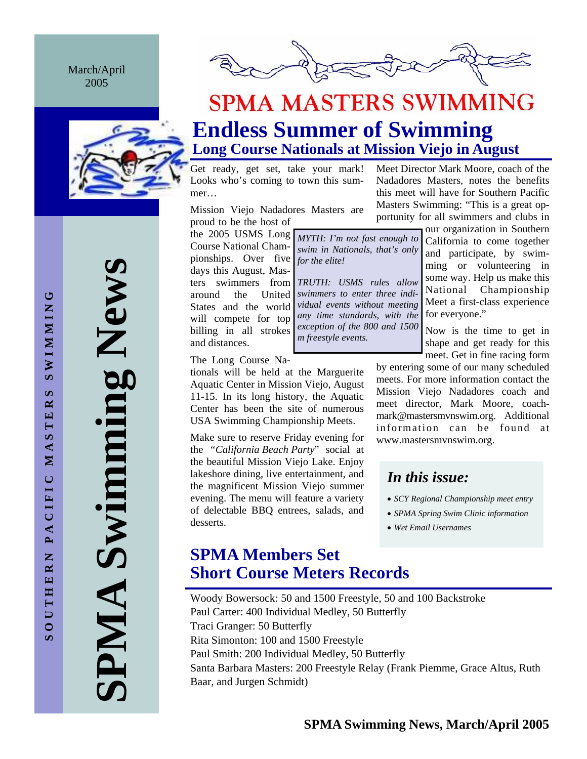March/April 2005





## **SPMA MASTERS SWIMMING Endless Summer of Swimming Long Course Nationals at Mission Viejo in August**

*MYTH: I'm not fast enough to swim in Nationals, that's only* 

*TRUTH: USMS rules allow swimmers to enter three individual events without meeting any time standards, with the exception of the 800 and 1500* 

*for the elite!* 

*m freestyle events.* 

Get ready, get set, take your mark! Looks who's coming to town this summer…

Mission Viejo Nadadores Masters are proud to be the host of

the 2005 USMS Long Course National Championships. Over five days this August, Masters swimmers from around the United States and the world will compete for top billing in all strokes and distances.

The Long Course Na-

tionals will be held at the Marguerite Aquatic Center in Mission Viejo, August 11-15. In its long history, the Aquatic Center has been the site of numerous USA Swimming Championship Meets.

Make sure to reserve Friday evening for the *"California Beach Party*" social at the beautiful Mission Viejo Lake. Enjoy lakeshore dining, live entertainment, and the magnificent Mission Viejo summer evening. The menu will feature a variety of delectable BBQ entrees, salads, and desserts.

Meet Director Mark Moore, coach of the Nadadores Masters, notes the benefits this meet will have for Southern Pacific Masters Swimming: "This is a great opportunity for all swimmers and clubs in

> our organization in Southern California to come together and participate, by swimming or volunteering in some way. Help us make this National Championship Meet a first-class experience for everyone."

> Now is the time to get in shape and get ready for this meet. Get in fine racing form

by entering some of our many scheduled meets. For more information contact the Mission Viejo Nadadores coach and meet director, Mark Moore, coachmark@mastersmvnswim.org. Additional information can be found at www.mastersmvnswim.org.

## *In this issue:*

- *SCY Regional Championship meet entry*
- *SPMA Spring Swim Clinic information*
- *Wet Email Usernames*

## **SPMA Members Set Short Course Meters Records**

Woody Bowersock: 50 and 1500 Freestyle, 50 and 100 Backstroke Paul Carter: 400 Individual Medley, 50 Butterfly Traci Granger: 50 Butterfly Rita Simonton: 100 and 1500 Freestyle Paul Smith: 200 Individual Medley, 50 Butterfly Santa Barbara Masters: 200 Freestyle Relay (Frank Piemme, Grace Altus, Ruth Baar, and Jurgen Schmidt)

**SPMA Swimming News**  Swimming New AINP.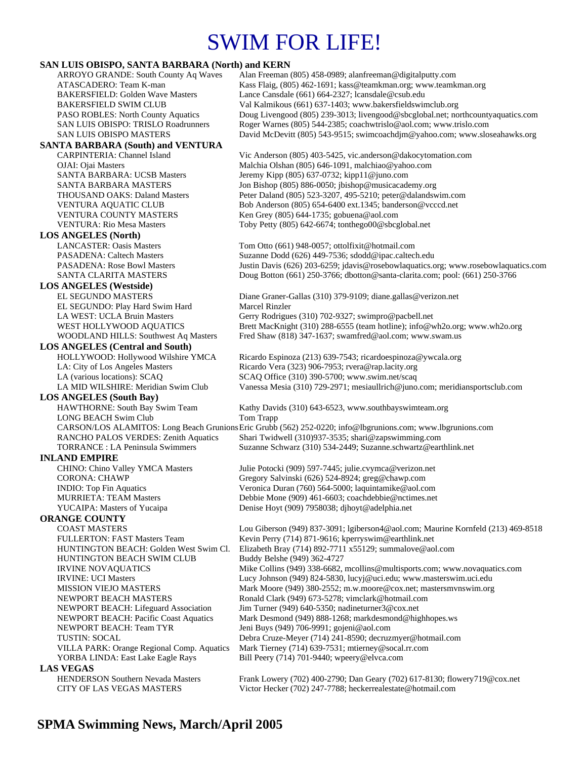## SWIM FOR LIFE!

### **SAN LUIS OBISPO, SANTA BARBARA (North) and KERN**

| SAN LUIS UBISPU, SANTA BAKBAKA (NOFIN) and KEKN |                                                                                                             |
|-------------------------------------------------|-------------------------------------------------------------------------------------------------------------|
| ARROYO GRANDE: South County Aq Waves            | Alan Freeman (805) 458-0989; alanfreeman@digitalputty.com                                                   |
| ATASCADERO: Team K-man                          | Kass Flaig, (805) 462-1691; kass@teamkman.org; www.teamkman.org                                             |
| <b>BAKERSFIELD: Golden Wave Masters</b>         | Lance Cansdale (661) 664-2327; lcansdale@csub.edu                                                           |
| <b>BAKERSFIELD SWIM CLUB</b>                    | Val Kalmikous (661) 637-1403; www.bakersfieldswimclub.org                                                   |
| PASO ROBLES: North County Aquatics              | Doug Livengood (805) 239-3013; livengood@sbcglobal.net; northcountyaquatics.com                             |
| SAN LUIS OBISPO: TRISLO Roadrunners             | Roger Warnes (805) 544-2385; coachwtrislo@aol.com; www.trislo.com                                           |
| <b>SAN LUIS OBISPO MASTERS</b>                  | David McDevitt (805) 543-9515; swimcoachdjm@yahoo.com; www.sloseahawks.org                                  |
| <b>SANTA BARBARA (South) and VENTURA</b>        |                                                                                                             |
| CARPINTERIA: Channel Island                     | Vic Anderson (805) 403-5425, vic.anderson@dakocytomation.com                                                |
| OJAI: Ojai Masters                              | Malchia Olshan (805) 646-1091, malchiao@yahoo.com                                                           |
| <b>SANTA BARBARA: UCSB Masters</b>              | Jeremy Kipp (805) 637-0732; kipp11@juno.com                                                                 |
| <b>SANTA BARBARA MASTERS</b>                    | Jon Bishop (805) 886-0050; jbishop@musicacademy.org                                                         |
| <b>THOUSAND OAKS: Daland Masters</b>            | Peter Daland (805) 523-3207, 495-5210; peter@dalandswim.com                                                 |
| VENTURA AQUATIC CLUB                            | Bob Anderson (805) 654-6400 ext.1345; banderson@vcccd.net                                                   |
| VENTURA COUNTY MASTERS                          | Ken Grey (805) 644-1735; gobuena@aol.com                                                                    |
| <b>VENTURA: Rio Mesa Masters</b>                | Toby Petty (805) 642-6674; tonthego00@sbcglobal.net                                                         |
| <b>LOS ANGELES (North)</b>                      |                                                                                                             |
| <b>LANCASTER: Oasis Masters</b>                 | Tom Otto (661) 948-0057; ottolfixit@hotmail.com                                                             |
| <b>PASADENA: Caltech Masters</b>                | Suzanne Dodd (626) 449-7536; sdodd@ipac.caltech.edu                                                         |
| <b>PASADENA: Rose Bowl Masters</b>              | Justin Davis (626) 203-6259; jdavis@rosebowlaquatics.org; www.rosebowlaquatics.com                          |
| SANTA CLARITA MASTERS                           | Doug Botton (661) 250-3766; dbotton@santa-clarita.com; pool: (661) 250-3766                                 |
| <b>LOS ANGELES (Westside)</b>                   |                                                                                                             |
| <b>EL SEGUNDO MASTERS</b>                       | Diane Graner-Gallas (310) 379-9109; diane.gallas@verizon.net                                                |
| EL SEGUNDO: Play Hard Swim Hard                 | Marcel Rinzler                                                                                              |
| LA WEST: UCLA Bruin Masters                     | Gerry Rodrigues (310) 702-9327; swimpro@pacbell.net                                                         |
| WEST HOLLYWOOD AQUATICS                         | Brett MacKnight (310) 288-6555 (team hotline); info@wh2o.org; www.wh2o.org                                  |
| WOODLAND HILLS: Southwest Aq Masters            | Fred Shaw (818) 347-1637; swamfred@aol.com; www.swam.us                                                     |
| <b>LOS ANGELES (Central and South)</b>          |                                                                                                             |
| HOLLYWOOD: Hollywood Wilshire YMCA              | Ricardo Espinoza (213) 639-7543; ricardoespinoza@ywcala.org                                                 |
| LA: City of Los Angeles Masters                 | Ricardo Vera (323) 906-7953; rvera@rap.lacity.org                                                           |
| LA (various locations): SCAQ                    | SCAQ Office (310) 390-5700; www.swim.net/scaq                                                               |
| LA MID WILSHIRE: Meridian Swim Club             | Vanessa Mesia (310) 729-2971; mesiaullrich@juno.com; meridiansportsclub.com                                 |
| <b>LOS ANGELES</b> (South Bay)                  |                                                                                                             |
| HAWTHORNE: South Bay Swim Team                  | Kathy Davids (310) 643-6523, www.southbayswimteam.org                                                       |
| <b>LONG BEACH Swim Club</b>                     | Tom Trapp                                                                                                   |
|                                                 | CARSON/LOS ALAMITOS: Long Beach Grunions Eric Grubb (562) 252-0220; info@lbgrunions.com; www.lbgrunions.com |
| RANCHO PALOS VERDES: Zenith Aquatics            | Shari Twidwell (310)937-3535; shari@zapswimming.com                                                         |
| <b>TORRANCE</b> : LA Peninsula Swimmers         | Suzanne Schwarz (310) 534-2449; Suzanne.schwartz@earthlink.net                                              |
| <b>INLAND EMPIRE</b>                            |                                                                                                             |
| CHINO: Chino Valley YMCA Masters                | Julie Potocki (909) 597-7445; julie.cvymca@verizon.net                                                      |
| <b>CORONA: CHAWP</b>                            | Gregory Salvinski (626) 524-8924; greg@chawp.com                                                            |
| <b>INDIO:</b> Top Fin Aquatics                  | Veronica Duran (760) 564-5000; laquintamike@aol.com                                                         |
| <b>MURRIETA: TEAM Masters</b>                   | Debbie Mone (909) 461-6603; coachdebbie@nctimes.net                                                         |
| YUCAIPA: Masters of Yucaipa                     | Denise Hoyt (909) 7958038; djhoyt@adelphia.net                                                              |
| <b>ORANGE COUNTY</b>                            |                                                                                                             |
| <b>COAST MASTERS</b>                            | Lou Giberson (949) 837-3091; lgiberson4@aol.com; Maurine Kornfeld (213) 469-8518                            |
| FULLERTON: FAST Masters Team                    | Kevin Perry (714) 871-9616; kperryswim@earthlink.net                                                        |
| HUNTINGTON BEACH: Golden West Swim Cl.          | Elizabeth Bray (714) 892-7711 x55129; summalove@aol.com                                                     |
| HUNTINGTON BEACH SWIM CLUB                      | Buddy Belshe (949) 362-4727                                                                                 |
| <b>IRVINE NOVAQUATICS</b>                       | Mike Collins (949) 338-6682, mcollins@multisports.com; www.novaquatics.com                                  |
| <b>IRVINE: UCI Masters</b>                      | Lucy Johnson (949) 824-5830, lucyj@uci.edu; www.masterswim.uci.edu                                          |
| <b>MISSION VIEJO MASTERS</b>                    | Mark Moore (949) 380-2552; m.w.moore@cox.net; mastersmvnswim.org                                            |
| NEWPORT BEACH MASTERS                           | Ronald Clark (949) 673-5278; vimclark@hotmail.com                                                           |
| NEWPORT BEACH: Lifeguard Association            | Jim Turner (949) 640-5350; nadineturner $3@cos$ .net                                                        |
| <b>NEWPORT BEACH: Pacific Coast Aquatics</b>    | Mark Desmond (949) 888-1268; markdesmond@highhopes.ws                                                       |
| NEWPORT BEACH: Team TYR                         | Jeni Buys (949) 706-9991; gojeni@aol.com                                                                    |
| <b>TUSTIN: SOCAL</b>                            | Debra Cruze-Meyer (714) 241-8590; decruzmyer@hotmail.com                                                    |
| VILLA PARK: Orange Regional Comp. Aquatics      | Mark Tierney (714) 639-7531; mtierney@socal.rr.com                                                          |
| YORBA LINDA: East Lake Eagle Rays               | Bill Peery (714) 701-9440; wpeery@elvca.com                                                                 |
| <b>LAS VEGAS</b>                                |                                                                                                             |
| HENDERSON Southern Nevada Masters               | Frank Lowery (702) 400-2790; Dan Geary (702) 617-8130; flowery719@cox.net                                   |
| CITY OF LAS VEGAS MASTERS                       | Victor Hecker (702) 247-7788; heckerrealestate@hotmail.com                                                  |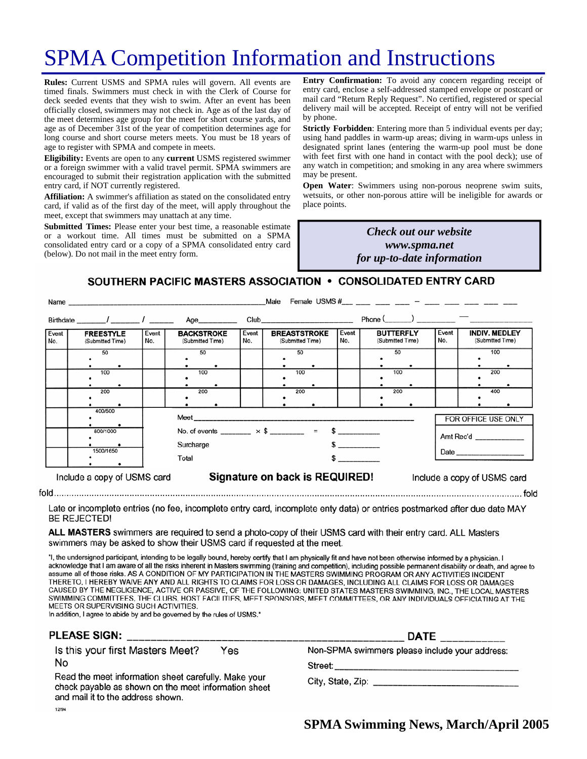# SPMA Competition Information and Instructions

**Rules:** Current USMS and SPMA rules will govern. All events are timed finals. Swimmers must check in with the Clerk of Course for deck seeded events that they wish to swim. After an event has been officially closed, swimmers may not check in. Age as of the last day of the meet determines age group for the meet for short course yards, and age as of December 31st of the year of competition determines age for long course and short course meters meets. You must be 18 years of age to register with SPMA and compete in meets.

**Eligibility:** Events are open to any **current** USMS registered swimmer or a foreign swimmer with a valid travel permit. SPMA swimmers are encouraged to submit their registration application with the submitted entry card, if NOT currently registered.

**Affiliation:** A swimmer's affiliation as stated on the consolidated entry card, if valid as of the first day of the meet, will apply throughout the meet, except that swimmers may unattach at any time.

**Submitted Times:** Please enter your best time, a reasonable estimate or a workout time. All times must be submitted on a SPMA consolidated entry card or a copy of a SPMA consolidated entry card (below). Do not mail in the meet entry form.

**Entry Confirmation:** To avoid any concern regarding receipt of entry card, enclose a self-addressed stamped envelope or postcard or mail card "Return Reply Request". No certified, registered or special delivery mail will be accepted. Receipt of entry will not be verified by phone.

**Strictly Forbidden**: Entering more than 5 individual events per day; using hand paddles in warm-up areas; diving in warm-ups unless in designated sprint lanes (entering the warm-up pool must be done with feet first with one hand in contact with the pool deck); use of any watch in competition; and smoking in any area where swimmers may be present.

**Open Water**: Swimmers using non-porous neoprene swim suits, wetsuits, or other non-porous attire will be ineligible for awards or place points.

### *Many the Check out our website Check out our website hosting the March Committee meeting and www.spma.net providing dinner! for up-to-date information*

### SOUTHERN PACIFIC MASTERS ASSOCIATION • CONSOLIDATED ENTRY CARD

|                                                                                              | Female USMS $#$ <sub>___</sub> ____ ____ ___ <sup>_</sup> ____ ___ ___ ___ ___<br>Male<br>Name and the contract of the contract of the contract of the contract of the contract of the contract of the contract of the contract of the contract of the contract of the contract of the contract of the contract of the c |              |                                                                      |              |                                                                                                                                                                                                                                |                          |                                      |              |                                          |
|----------------------------------------------------------------------------------------------|--------------------------------------------------------------------------------------------------------------------------------------------------------------------------------------------------------------------------------------------------------------------------------------------------------------------------|--------------|----------------------------------------------------------------------|--------------|--------------------------------------------------------------------------------------------------------------------------------------------------------------------------------------------------------------------------------|--------------------------|--------------------------------------|--------------|------------------------------------------|
|                                                                                              |                                                                                                                                                                                                                                                                                                                          |              | Age_________                                                         |              | Club and the contract of the contract of the contract of the contract of the contract of the contract of the contract of the contract of the contract of the contract of the contract of the contract of the contract of the c |                          | $Phone($ $)$ $-$                     |              |                                          |
| Event<br>No.                                                                                 | <b>FREESTYLE</b><br>(Submitted Time)                                                                                                                                                                                                                                                                                     | Event<br>No. | <b>BACKSTROKE</b><br>(Submitted Time)                                | Event<br>No. | <b>BREASTSTROKE</b><br>(Submitted Time)                                                                                                                                                                                        | Event<br>No.             | <b>BUTTERFLY</b><br>(Submitted Time) | Event<br>No. | <b>INDIV. MEDLEY</b><br>(Submitted Time) |
|                                                                                              | 50                                                                                                                                                                                                                                                                                                                       |              | 50                                                                   |              | 50                                                                                                                                                                                                                             |                          | 50                                   |              | 100                                      |
|                                                                                              | 100                                                                                                                                                                                                                                                                                                                      |              | 100                                                                  |              | 100                                                                                                                                                                                                                            |                          | 100                                  |              | 200                                      |
|                                                                                              | 200                                                                                                                                                                                                                                                                                                                      |              | 200                                                                  |              | 200                                                                                                                                                                                                                            |                          | 200                                  |              | 400                                      |
|                                                                                              | 400/500                                                                                                                                                                                                                                                                                                                  |              |                                                                      |              |                                                                                                                                                                                                                                |                          | FOR OFFICE USE ONLY                  |              |                                          |
|                                                                                              | 800/1000                                                                                                                                                                                                                                                                                                                 |              | No. of events _______ $\times$ \$ _______ = \$ ________<br>Surcharge |              |                                                                                                                                                                                                                                |                          | Amt Rec'd                            |              |                                          |
|                                                                                              | 1500/1650                                                                                                                                                                                                                                                                                                                |              | Total                                                                |              |                                                                                                                                                                                                                                | <b>Contract Contract</b> |                                      |              |                                          |
| Signature on back is REQUIRED!<br>Include a copy of USMS card<br>Include a copy of USMS card |                                                                                                                                                                                                                                                                                                                          |              |                                                                      |              |                                                                                                                                                                                                                                |                          |                                      |              |                                          |

Late or incomplete entries (no fee, incomplete entry card, incomplete enty data) or entries postmarked after due date MAY **BE REJECTED!** 

ALL MASTERS swimmers are required to send a photo-copy of their USMS card with their entry card. ALL Masters swimmers may be asked to show their USMS card if requested at the meet.

"I, the undersigned participant, intending to be legally bound, hereby certify that I am physically fit and have not been otherwise informed by a physician. I acknowledge that I am aware of all the risks inherent in Masters swimming (training and competition), including possible permanent disability or death, and agree to assume all of those risks. AS A CONDITION OF MY PARTICIPATION IN THE MASTERS SWIMMING PROGRAM OR ANY ACTIVITIES INCIDENT THERETO, I HEREBY WAIVE ANY AND ALL RIGHTS TO CLAIMS FOR LOSS OR DAMAGES, INCLUDING ALL CLAIMS FOR LOSS OR DAMAGES CAUSED BY THE NEGLIGENCE, ACTIVE OR PASSIVE, OF THE FOLLOWING: UNITED STATES MASTERS SWIMMING, INC., THE LOCAL MASTERS SWIMMING COMMITTEES, THE CLUBS, HOST FACILITIES, MEET SPONSORS, MEET COMMITTEES, OR ANY INDIVIDUALS OFFICIATING AT THE MEETS OR SUPERVISING SUCH ACTIVITIES.

In addition, I agree to abide by and be governed by the rules of USMS."

| PLEASE SIGN:                                                                                                                                                                                                | <b>DATE</b>                                                                                                         |  |  |  |  |
|-------------------------------------------------------------------------------------------------------------------------------------------------------------------------------------------------------------|---------------------------------------------------------------------------------------------------------------------|--|--|--|--|
| Is this your first Masters Meet?<br>Yes<br>No<br>Read the meet information sheet carefully. Make your<br>check payable as shown on the meet information sheet<br>and mail it to the address shown.<br>12/94 | Non-SPMA swimmers please include your address:<br>Street: _____________<br>City, State, Zip: ______________________ |  |  |  |  |

 $f \circ f$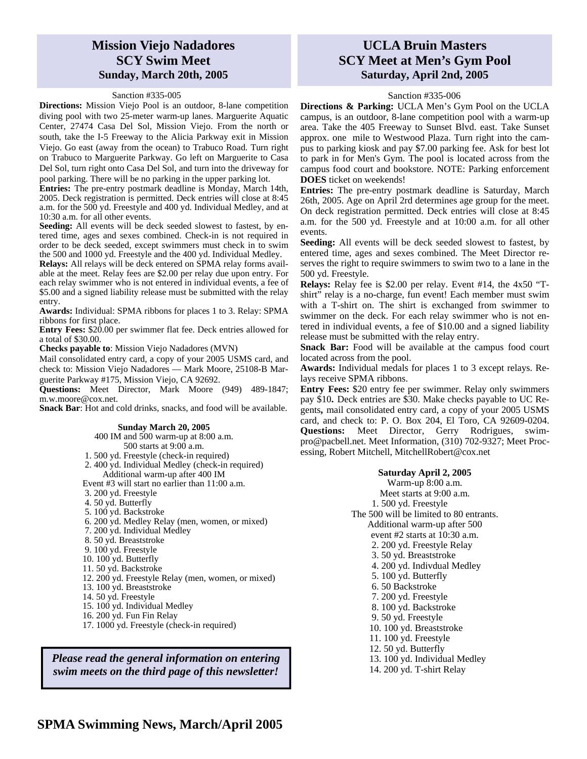## **Mission Viejo Nadadores SCY Swim Meet Sunday, March 20th, 2005**

#### Sanction #335-005

**Directions:** Mission Viejo Pool is an outdoor, 8-lane competition diving pool with two 25-meter warm-up lanes. Marguerite Aquatic Center, 27474 Casa Del Sol, Mission Viejo. From the north or south, take the I-5 Freeway to the Alicia Parkway exit in Mission Viejo. Go east (away from the ocean) to Trabuco Road. Turn right on Trabuco to Marguerite Parkway. Go left on Marguerite to Casa Del Sol, turn right onto Casa Del Sol, and turn into the driveway for pool parking. There will be no parking in the upper parking lot.

**Entries:** The pre-entry postmark deadline is Monday, March 14th, 2005. Deck registration is permitted. Deck entries will close at 8:45 a.m. for the 500 yd. Freestyle and 400 yd. Individual Medley, and at 10:30 a.m. for all other events.

**Seeding:** All events will be deck seeded slowest to fastest, by entered time, ages and sexes combined. Check-in is not required in order to be deck seeded, except swimmers must check in to swim the 500 and 1000 yd. Freestyle and the 400 yd. Individual Medley.

**Relays:** All relays will be deck entered on SPMA relay forms available at the meet. Relay fees are \$2.00 per relay due upon entry. For each relay swimmer who is not entered in individual events, a fee of \$5.00 and a signed liability release must be submitted with the relay entry.

**Awards:** Individual: SPMA ribbons for places 1 to 3. Relay: SPMA ribbons for first place.

**Entry Fees:** \$20.00 per swimmer flat fee. Deck entries allowed for a total of \$30.00.

**Checks payable to**: Mission Viejo Nadadores (MVN)

Mail consolidated entry card, a copy of your 2005 USMS card, and check to: Mission Viejo Nadadores — Mark Moore, 25108-B Marguerite Parkway #175, Mission Viejo, CA 92692.

**Questions:** Meet Director, Mark Moore (949) 489-1847; m.w.moore@cox.net.

**Snack Bar**: Hot and cold drinks, snacks, and food will be available.

#### **Sunday March 20, 2005**

400 IM and 500 warm-up at 8:00 a.m. 500 starts at 9:00 a.m. 1. 500 yd. Freestyle (check-in required)

- 2. 400 yd. Individual Medley (check-in required) Additional warm-up after 400 IM
- Event #3 will start no earlier than 11:00 a.m.
- 3. 200 yd. Freestyle
- 4. 50 yd. Butterfly
- 5. 100 yd. Backstroke
- 
- 6. 200 yd. Medley Relay (men, women, or mixed)
- 7. 200 yd. Individual Medley
- 8. 50 yd. Breaststroke
- 9. 100 yd. Freestyle
- 10. 100 yd. Butterfly
- 11. 50 yd. Backstroke
- 12. 200 yd. Freestyle Relay (men, women, or mixed)
- 13. 100 yd. Breaststroke
- 14. 50 yd. Freestyle
- 15. 100 yd. Individual Medley
- 16. 200 yd. Fun Fin Relay
- 17. 1000 yd. Freestyle (check-in required)

*Please read the general information on entering swim meets on the third page of this newsletter!* 

## **UCLA Bruin Masters SCY Meet at Men's Gym Pool Saturday, April 2nd, 2005**

### Sanction #335-006

**Directions & Parking:** UCLA Men's Gym Pool on the UCLA campus, is an outdoor, 8-lane competition pool with a warm-up area. Take the 405 Freeway to Sunset Blvd. east. Take Sunset approx. one mile to Westwood Plaza. Turn right into the campus to parking kiosk and pay \$7.00 parking fee. Ask for best lot to park in for Men's Gym. The pool is located across from the campus food court and bookstore. NOTE: Parking enforcement **DOES** ticket on weekends!

**Entries:** The pre-entry postmark deadline is Saturday, March 26th, 2005. Age on April 2rd determines age group for the meet. On deck registration permitted. Deck entries will close at 8:45 a.m. for the 500 yd. Freestyle and at 10:00 a.m. for all other events.

**Seeding:** All events will be deck seeded slowest to fastest, by entered time, ages and sexes combined. The Meet Director reserves the right to require swimmers to swim two to a lane in the 500 yd. Freestyle.

**Relays:** Relay fee is \$2.00 per relay. Event #14, the 4x50 "Tshirt" relay is a no-charge, fun event! Each member must swim with a T-shirt on. The shirt is exchanged from swimmer to swimmer on the deck. For each relay swimmer who is not entered in individual events, a fee of \$10.00 and a signed liability release must be submitted with the relay entry.

**Snack Bar:** Food will be available at the campus food court located across from the pool.

**Awards:** Individual medals for places 1 to 3 except relays. Relays receive SPMA ribbons.

**Entry Fees:** \$20 entry fee per swimmer. Relay only swimmers pay \$10**.** Deck entries are \$30. Make checks payable to UC Regents**,** mail consolidated entry card, a copy of your 2005 USMS card, and check to: P. O. Box 204, El Toro, CA 92609-0204. **Questions:** Meet Director, Gerry Rodrigues, swimpro@pacbell.net. Meet Information, (310) 702-9327; Meet Processing, Robert Mitchell, MitchellRobert@cox.net

#### **Saturday April 2, 2005**

Warm-up 8:00 a.m.

Meet starts at 9:00 a.m.

1. 500 yd. Freestyle

- The 500 will be limited to 80 entrants.
	- Additional warm-up after 500
	- event #2 starts at 10:30 a.m.
	- 2. 200 yd. Freestyle Relay
	- 3. 50 yd. Breaststroke
	- 4. 200 yd. Indivdual Medley
	- 5. 100 yd. Butterfly
	- 6. 50 Backstroke
	- 7. 200 yd. Freestyle
	- 8. 100 yd. Backstroke
	- 9. 50 yd. Freestyle
	- 10. 100 yd. Breaststroke
	- 11. 100 yd. Freestyle
	- 12. 50 yd. Butterfly
	- 13. 100 yd. Individual Medley
	- 14. 200 yd. T-shirt Relay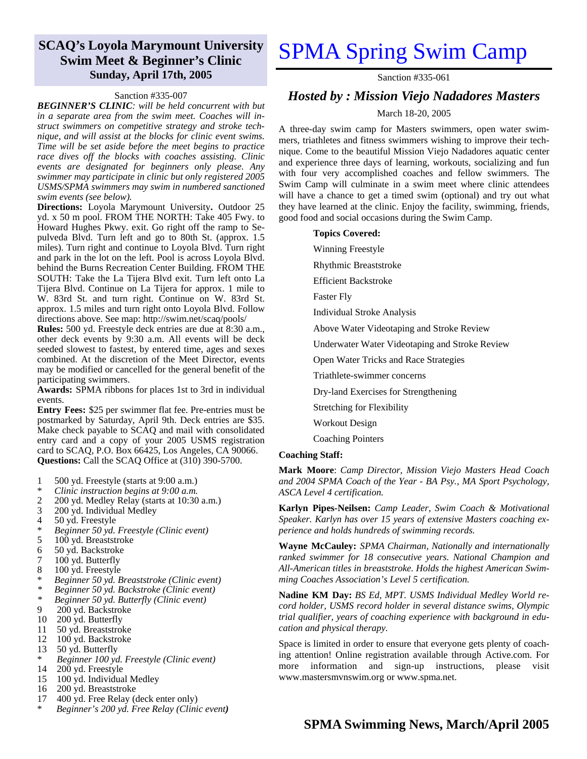## **SCAQ's Loyola Marymount University Swim Meet & Beginner's Clinic Sunday, April 17th, 2005**

#### Sanction #335-007

*BEGINNER'S CLINIC: will be held concurrent with but in a separate area from the swim meet. Coaches will instruct swimmers on competitive strategy and stroke technique, and will assist at the blocks for clinic event swims. Time will be set aside before the meet begins to practice race dives off the blocks with coaches assisting. Clinic events are designated for beginners only please. Any swimmer may participate in clinic but only registered 2005 USMS/SPMA swimmers may swim in numbered sanctioned swim events (see below).* 

**Directions:** Loyola Marymount University**.** Outdoor 25 yd. x 50 m pool. FROM THE NORTH: Take 405 Fwy. to Howard Hughes Pkwy. exit. Go right off the ramp to Sepulveda Blvd. Turn left and go to 80th St. (approx. 1.5 miles). Turn right and continue to Loyola Blvd. Turn right and park in the lot on the left. Pool is across Loyola Blvd. behind the Burns Recreation Center Building. FROM THE SOUTH: Take the La Tijera Blvd exit. Turn left onto La Tijera Blvd. Continue on La Tijera for approx. 1 mile to W. 83rd St. and turn right. Continue on W. 83rd St. approx. 1.5 miles and turn right onto Loyola Blvd. Follow directions above. See map: http://swim.net/scaq/pools/

**Rules:** 500 yd. Freestyle deck entries are due at 8:30 a.m., other deck events by 9:30 a.m. All events will be deck seeded slowest to fastest, by entered time, ages and sexes combined. At the discretion of the Meet Director, events may be modified or cancelled for the general benefit of the participating swimmers.

**Awards:** SPMA ribbons for places 1st to 3rd in individual events.

**Entry Fees:** \$25 per swimmer flat fee. Pre-entries must be postmarked by Saturday, April 9th. Deck entries are \$35. Make check payable to SCAQ and mail with consolidated entry card and a copy of your 2005 USMS registration card to SCAQ, P.O. Box 66425, Los Angeles, CA 90066. **Questions:** Call the SCAQ Office at (310) 390-5700.

- 1 500 yd. Freestyle (starts at  $9:00$  a.m.)<br>  $\stackrel{*}{\sim}$  Clinic instruction begins at  $0:00$  a.m.
- \* *Clinic instruction begins at 9:00 a.m.*
- 2 200 yd. Medley Relay (starts at 10:30 a.m.)
- 3 200 yd. Individual Medley<br>4 50 yd. Freestyle
- 50 yd. Freestyle
- \* *Beginner 50 yd. Freestyle (Clinic event)*
- 100 yd. Breaststroke
- 6 50 yd. Backstroke
- 
- 7 100 yd. Butterfly<br>8 100 yd. Freestyle 8 100 yd. Freestyle
- \* *Beginner 50 yd. Breaststroke (Clinic event)*
- *\* Beginner 50 yd. Backstroke (Clinic event)*
- *\* Beginner 50 yd. Butterfly (Clinic event)*
- 9 200 yd. Backstroke
- 10 200 yd. Butterfly
- 11 50 yd. Breaststroke
- 12 100 yd. Backstroke
- 13 50 yd. Butterfly
- \* *Beginner 100 yd. Freestyle (Clinic event)*
- $14$   $200$  yd. Freestyle<br>15  $100$  yd. Individua
- 100 yd. Individual Medley
- 16 200 yd. Breaststroke
- 17 400 yd. Free Relay (deck enter only)
- \* *Beginner's 200 yd. Free Relay (Clinic event)*

## SPMA Spring Swim Camp

Sanction #335-061

### *Hosted by : Mission Viejo Nadadores Masters*

#### March 18-20, 2005

A three-day swim camp for Masters swimmers, open water swimmers, triathletes and fitness swimmers wishing to improve their technique. Come to the beautiful Mission Viejo Nadadores aquatic center and experience three days of learning, workouts, socializing and fun with four very accomplished coaches and fellow swimmers. The Swim Camp will culminate in a swim meet where clinic attendees will have a chance to get a timed swim (optional) and try out what they have learned at the clinic. Enjoy the facility, swimming, friends, good food and social occasions during the Swim Camp.

#### **Topics Covered:**

Winning Freestyle

- Rhythmic Breaststroke
- Efficient Backstroke

Faster Fly

Individual Stroke Analysis

- Above Water Videotaping and Stroke Review
- Underwater Water Videotaping and Stroke Review

Open Water Tricks and Race Strategies

- Triathlete-swimmer concerns
- Dry-land Exercises for Strengthening
- Stretching for Flexibility
- Workout Design
- Coaching Pointers

#### **Coaching Staff:**

**Mark Moore**: *Camp Director, Mission Viejo Masters Head Coach and 2004 SPMA Coach of the Year - BA Psy., MA Sport Psychology, ASCA Level 4 certification.* 

**Karlyn Pipes-Neilsen:** *Camp Leader, Swim Coach & Motivational Speaker. Karlyn has over 15 years of extensive Masters coaching experience and holds hundreds of swimming records.* 

**Wayne McCauley:** *SPMA Chairman, Nationally and internationally ranked swimmer for 18 consecutive years. National Champion and All-American titles in breaststroke. Holds the highest American Swimming Coaches Association's Level 5 certification.* 

**Nadine KM Day:** *BS Ed, MPT. USMS Individual Medley World record holder, USMS record holder in several distance swims, Olympic trial qualifier, years of coaching experience with background in education and physical therapy.* 

Space is limited in order to ensure that everyone gets plenty of coaching attention! Online registration available through Active.com. For more information and sign-up instructions, please visit www.mastersmvnswim.org or www.spma.net.

## **SPMA Swimming News, March/April 2005**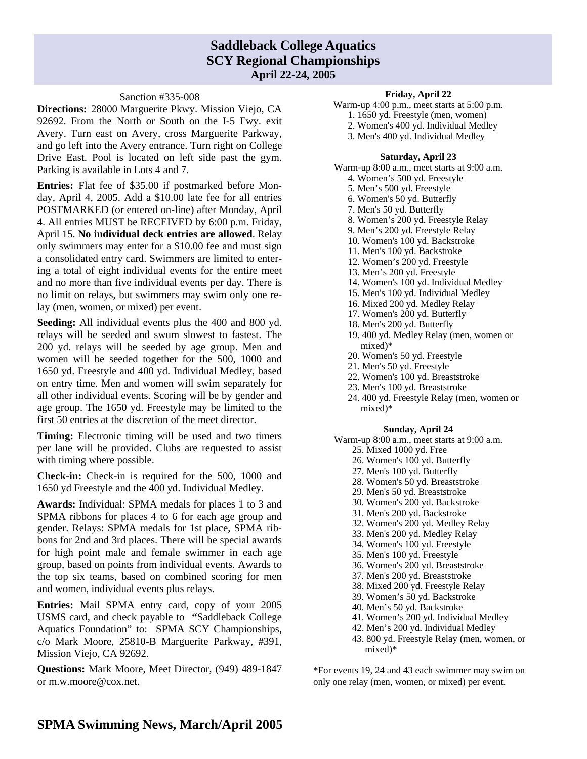## **Saddleback College Aquatics SCY Regional Championships April 22-24, 2005**

#### Sanction #335-008

**Directions:** 28000 Marguerite Pkwy. Mission Viejo, CA 92692. From the North or South on the I-5 Fwy. exit Avery. Turn east on Avery, cross Marguerite Parkway, and go left into the Avery entrance. Turn right on College Drive East. Pool is located on left side past the gym. Parking is available in Lots 4 and 7.

**Entries:** Flat fee of \$35.00 if postmarked before Monday, April 4, 2005. Add a \$10.00 late fee for all entries POSTMARKED (or entered on-line) after Monday, April 4. All entries MUST be RECEIVED by 6:00 p.m. Friday, April 15. **No individual deck entries are allowed**. Relay only swimmers may enter for a \$10.00 fee and must sign a consolidated entry card. Swimmers are limited to entering a total of eight individual events for the entire meet and no more than five individual events per day. There is no limit on relays, but swimmers may swim only one relay (men, women, or mixed) per event.

**Seeding:** All individual events plus the 400 and 800 yd. relays will be seeded and swum slowest to fastest. The 200 yd. relays will be seeded by age group. Men and women will be seeded together for the 500, 1000 and 1650 yd. Freestyle and 400 yd. Individual Medley, based on entry time. Men and women will swim separately for all other individual events. Scoring will be by gender and age group. The 1650 yd. Freestyle may be limited to the first 50 entries at the discretion of the meet director.

**Timing:** Electronic timing will be used and two timers per lane will be provided. Clubs are requested to assist with timing where possible.

**Check-in:** Check-in is required for the 500, 1000 and 1650 yd Freestyle and the 400 yd. Individual Medley.

**Awards:** Individual: SPMA medals for places 1 to 3 and SPMA ribbons for places 4 to 6 for each age group and gender. Relays: SPMA medals for 1st place, SPMA ribbons for 2nd and 3rd places. There will be special awards for high point male and female swimmer in each age group, based on points from individual events. Awards to the top six teams, based on combined scoring for men and women, individual events plus relays.

**Entries:** Mail SPMA entry card, copy of your 2005 USMS card, and check payable to **"**Saddleback College Aquatics Foundation" to: SPMA SCY Championships, c/o Mark Moore, 25810-B Marguerite Parkway, #391, Mission Viejo, CA 92692.

**Questions:** Mark Moore, Meet Director, (949) 489-1847 or m.w.moore@cox.net.

### **Friday, April 22**

- Warm-up 4:00 p.m., meet starts at 5:00 p.m.
	- 1. 1650 yd. Freestyle (men, women)
	- 2. Women's 400 yd. Individual Medley
	- 3. Men's 400 yd. Individual Medley

#### **Saturday, April 23**

Warm-up 8:00 a.m., meet starts at 9:00 a.m.

- 4. Women's 500 yd. Freestyle
- 5. Men's 500 yd. Freestyle
- 6. Women's 50 yd. Butterfly
- 7. Men's 50 yd. Butterfly
- 8. Women's 200 yd. Freestyle Relay
- 9. Men's 200 yd. Freestyle Relay
- 10. Women's 100 yd. Backstroke
- 11. Men's 100 yd. Backstroke
- 12. Women's 200 yd. Freestyle
- 13. Men's 200 yd. Freestyle
- 14. Women's 100 yd. Individual Medley
- 15. Men's 100 yd. Individual Medley
- 16. Mixed 200 yd. Medley Relay
- 17. Women's 200 yd. Butterfly
- 18. Men's 200 yd. Butterfly
- 19. 400 yd. Medley Relay (men, women or mixed)\*
- 20. Women's 50 yd. Freestyle
- 21. Men's 50 yd. Freestyle
- 22. Women's 100 yd. Breaststroke
- 23. Men's 100 yd. Breaststroke
- 24. 400 yd. Freestyle Relay (men, women or mixed)\*

#### **Sunday, April 24**

Warm-up 8:00 a.m., meet starts at 9:00 a.m.

- 25. Mixed 1000 yd. Free
- 26. Women's 100 yd. Butterfly
- 27. Men's 100 yd. Butterfly
- 28. Women's 50 yd. Breaststroke
- 29. Men's 50 yd. Breaststroke
- 30. Women's 200 yd. Backstroke
- 31. Men's 200 yd. Backstroke
- 32. Women's 200 yd. Medley Relay
- 33. Men's 200 yd. Medley Relay
- 34. Women's 100 yd. Freestyle
- 35. Men's 100 yd. Freestyle
- 36. Women's 200 yd. Breaststroke
- 37. Men's 200 yd. Breaststroke
- 38. Mixed 200 yd. Freestyle Relay
- 39. Women's 50 yd. Backstroke
- 40. Men's 50 yd. Backstroke
- 41. Women's 200 yd. Individual Medley
- 42. Men's 200 yd. Individual Medley
- 43. 800 yd. Freestyle Relay (men, women, or mixed)\*

\*For events 19, 24 and 43 each swimmer may swim on only one relay (men, women, or mixed) per event.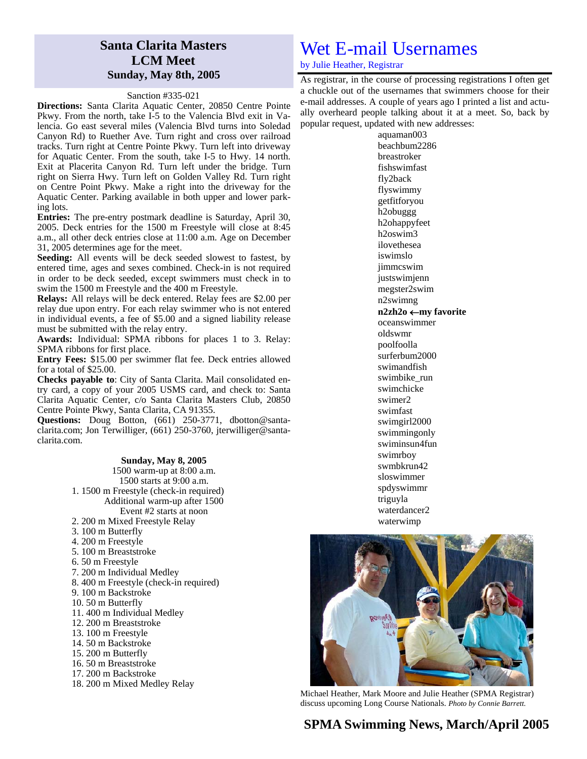## **Santa Clarita Masters LCM Meet Sunday, May 8th, 2005**

#### Sanction #335-021

**Directions:** Santa Clarita Aquatic Center, 20850 Centre Pointe Pkwy. From the north, take I-5 to the Valencia Blvd exit in Valencia. Go east several miles (Valencia Blvd turns into Soledad Canyon Rd) to Ruether Ave. Turn right and cross over railroad tracks. Turn right at Centre Pointe Pkwy. Turn left into driveway for Aquatic Center. From the south, take I-5 to Hwy. 14 north. Exit at Placerita Canyon Rd. Turn left under the bridge. Turn right on Sierra Hwy. Turn left on Golden Valley Rd. Turn right on Centre Point Pkwy. Make a right into the driveway for the Aquatic Center. Parking available in both upper and lower parking lots.

**Entries:** The pre-entry postmark deadline is Saturday, April 30, 2005. Deck entries for the 1500 m Freestyle will close at 8:45 a.m., all other deck entries close at 11:00 a.m. Age on December 31, 2005 determines age for the meet.

**Seeding:** All events will be deck seeded slowest to fastest, by entered time, ages and sexes combined. Check-in is not required in order to be deck seeded, except swimmers must check in to swim the 1500 m Freestyle and the 400 m Freestyle.

**Relays:** All relays will be deck entered. Relay fees are \$2.00 per relay due upon entry. For each relay swimmer who is not entered in individual events, a fee of \$5.00 and a signed liability release must be submitted with the relay entry.

**Awards:** Individual: SPMA ribbons for places 1 to 3. Relay: SPMA ribbons for first place.

**Entry Fees:** \$15.00 per swimmer flat fee. Deck entries allowed for a total of \$25.00.

**Checks payable to**: City of Santa Clarita. Mail consolidated entry card, a copy of your 2005 USMS card, and check to: Santa Clarita Aquatic Center, c/o Santa Clarita Masters Club, 20850 Centre Pointe Pkwy, Santa Clarita, CA 91355.

**Questions:** Doug Botton, (661) 250-3771, dbotton@santaclarita.com; Jon Terwilliger, (661) 250-3760, jterwilliger@santaclarita.com.

#### **Sunday, May 8, 2005**  1500 warm-up at 8:00 a.m. 1500 starts at 9:00 a.m. 1. 1500 m Freestyle (check-in required) Additional warm-up after 1500 Event #2 starts at noon 2. 200 m Mixed Freestyle Relay 3. 100 m Butterfly 4. 200 m Freestyle

- 5. 100 m Breaststroke
- 6. 50 m Freestyle
- 7. 200 m Individual Medley
- 8. 400 m Freestyle (check-in required)
- 9. 100 m Backstroke
- 10. 50 m Butterfly
- 11. 400 m Individual Medley
- 12. 200 m Breaststroke
- 13. 100 m Freestyle
- 14. 50 m Backstroke
- 15. 200 m Butterfly
- 16. 50 m Breaststroke
- 17. 200 m Backstroke
- 18. 200 m Mixed Medley Relay

## Wet E-mail Usernames

by Julie Heather, Registrar

As registrar, in the course of processing registrations I often get a chuckle out of the usernames that swimmers choose for their e-mail addresses. A couple of years ago I printed a list and actually overheard people talking about it at a meet. So, back by popular request, updated with new addresses:

> aquaman003 beachbum2286 breastroker fishswimfast fly2back flyswimmy getfitforyou h2obuggg h2ohappyfeet h2oswim3 ilovethesea iswimslo jimmcswim justswimjenn megster2swim n2swimng **n2zh2o** ←**my favorite**  oceanswimmer oldswmr poolfoolla surferbum2000 swimandfish swimbike\_run swimchicke swimer2 swimfast swimgirl2000 swimmingonly swiminsun4fun swimrboy swmbkrun42 sloswimmer spdyswimmr triguyla waterdancer2 waterwimp



Michael Heather, Mark Moore and Julie Heather (SPMA Registrar) discuss upcoming Long Course Nationals. *Photo by Connie Barrett.*

## **SPMA Swimming News, March/April 2005**